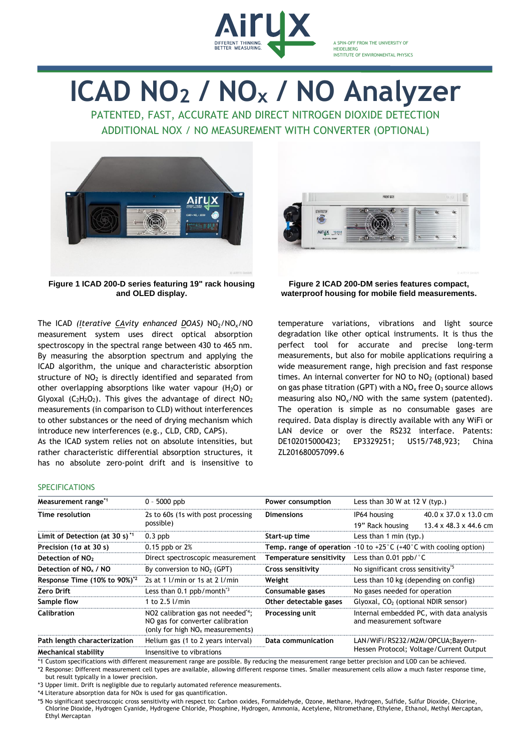

A SPIN-OFF FROM THE UNIVERSITY OF **HEIDELBERG** INSTITUTE OF ENVIRONMENTAL PHYSICS

## **ICAD NO<sup>2</sup> / NO<sup>x</sup> / NO Analyzer**

PATENTED, FAST, ACCURATE AND DIRECT NITROGEN DIOXIDE DETECTION ADDITIONAL NOX / NO MEASUREMENT WITH CONVERTER (OPTIONAL)



**Figure 1 ICAD 200-D series featuring 19" rack housing and OLED display.**

The ICAD *(Iterative CAvity enhanced DOAS)* NO<sub>2</sub>/NO<sub>x</sub>/NO measurement system uses direct optical absorption spectroscopy in the spectral range between 430 to 465 nm. By measuring the absorption spectrum and applying the ICAD algorithm, the unique and characteristic absorption structure of  $NO<sub>2</sub>$  is directly identified and separated from other overlapping absorptions like water vapour  $(H_2O)$  or Glyoxal ( $C_2H_2O_2$ ). This gives the advantage of direct  $NO_2$ measurements (in comparison to CLD) without interferences to other substances or the need of drying mechanism which introduce new interferences (e.g., CLD, CRD, CAPS).

As the ICAD system relies not on absolute intensities, but rather characteristic differential absorption structures, it has no absolute zero-point drift and is insensitive to



**Figure 2 ICAD 200-DM series features compact, waterproof housing for mobile field measurements.**

temperature variations, vibrations and light source degradation like other optical instruments. It is thus the perfect tool for accurate and precise long-term measurements, but also for mobile applications requiring a wide measurement range, high precision and fast response times. An internal converter for NO to  $NO<sub>2</sub>$  (optional) based on gas phase titration (GPT) with a  $NO<sub>x</sub>$  free  $O<sub>3</sub>$  source allows measuring also  $NO<sub>x</sub>/NO$  with the same system (patented). The operation is simple as no consumable gases are required. Data display is directly available with any WiFi or LAN device or over the RS232 interface. Patents: DE102015000423; EP3329251; US15/748,923; China ZL201680057099.6

## **SPECIFICATIONS**

| Measurement range <sup>*1</sup>            | $0 - 5000$ ppb                                                                                                          | Power consumption        | Less than 30 W at 12 V (typ.)                                                                  |                                                                        |
|--------------------------------------------|-------------------------------------------------------------------------------------------------------------------------|--------------------------|------------------------------------------------------------------------------------------------|------------------------------------------------------------------------|
| Time resolution                            | 2s to 60s (1s with post processing<br>possible)                                                                         | <b>Dimensions</b>        | IP64 housing<br>19" Rack housing                                                               | $40.0 \times 37.0 \times 13.0$ cm<br>$13.4 \times 48.3 \times 44.6$ cm |
| Limit of Detection (at 30 s) <sup>*1</sup> | $0.3$ ppb                                                                                                               | Start-up time            | Less than 1 min $(tvp.)$                                                                       |                                                                        |
| Precision (1o at 30 s)                     | $0.15$ ppb or $2%$                                                                                                      |                          | <b>Temp, range of operation</b> -10 to +25 $^{\circ}$ C (+40 $^{\circ}$ C with cooling option) |                                                                        |
| Detection of NO <sub>2</sub>               | Direct spectroscopic measurement                                                                                        | Temperature sensitivity  | Less than $0.01$ ppb/ $\degree$ C                                                              |                                                                        |
| Detection of NO <sub>x</sub> / NO          | By conversion to $NO2$ (GPT)                                                                                            | <b>Cross sensitivity</b> | No significant cross sensitivity <sup>5</sup>                                                  |                                                                        |
| Response Time $(10\% \text{ to } 90\%)^2$  | 2s at 1 $1/m$ in or 1s at 2 $1/m$ in                                                                                    | Weight                   | Less than 10 kg (depending on config)                                                          |                                                                        |
| <b>Zero Drift</b>                          | Less than $0.1$ ppb/month <sup>3</sup>                                                                                  | Consumable gases         | No gases needed for operation                                                                  |                                                                        |
| Sample flow                                | 1 to 2.5 l/min                                                                                                          | Other detectable gases   | $Glyoxal, CO2$ (optional NDIR sensor)                                                          |                                                                        |
| <b>Calibration</b>                         | NO2 calibration gas not needed <sup>4</sup> ;<br>NO gas for converter calibration<br>(only for high $NOx$ measurements) | Processing unit          | Internal embedded PC, with data analysis<br>and measurement software                           |                                                                        |
| Path length characterization               | Helium gas (1 to 2 years interval)                                                                                      | Data communication       | LAN/WiFi/RS232/M2M/OPCUA;Bayern-<br>Hessen Protocol; Voltage/Current Output                    |                                                                        |
| Mechanical stability                       | Insensitive to vibrations                                                                                               |                          |                                                                                                |                                                                        |

\*1 Custom specifications with different measurement range are possible. By reducing the measurement range better precision and LOD can be achieved. \*2 Response: Different measurement cell types are available, allowing different response times. Smaller measurement cells allow a much faster response time,

but result typically in a lower precision.

\*3 Upper limit. Drift is negligible due to regularly automated reference measurements.

\*4 Literature absorption data for NOx is used for gas quantification.

\*5 No significant spectroscopic cross sensitivity with respect to: Carbon oxides, Formaldehyde, Ozone, Methane, Hydrogen, Sulfide, Sulfur Dioxide, Chlorine, Chlorine Dioxide, Hydrogen Cyanide, Hydrogene Chloride, Phosphine, Hydrogen, Ammonia, Acetylene, Nitromethane, Ethylene, Ethanol, Methyl Mercaptan, Ethyl Mercaptan